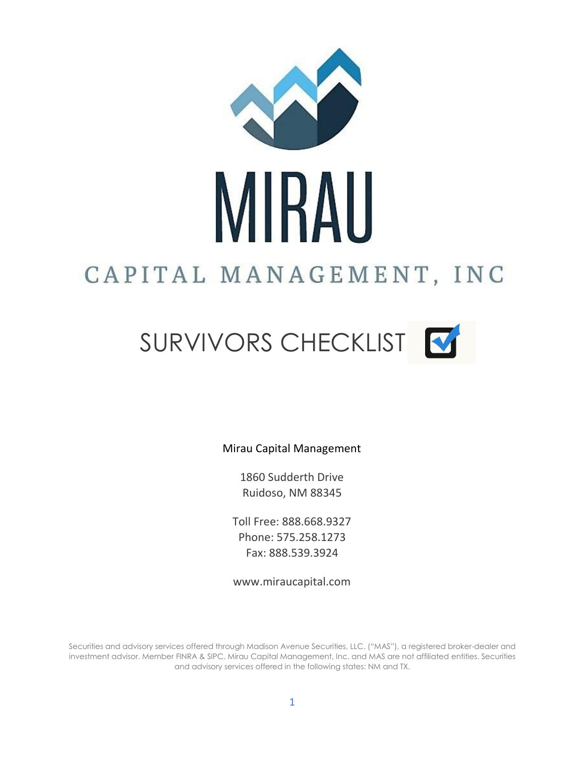

# SURVIVORS CHECKLIST M

Mirau Capital Management

1860 Sudderth Drive Ruidoso, NM 88345

Toll Free: 888.668.9327 Phone: 575.258.1273 Fax: 888.539.3924

www.miraucapital.com

Securities and advisory services offered through Madison Avenue Securities, LLC. ("MAS"), a registered broker-dealer and investment advisor. Member FINRA & SIPC. Mirau Capital Management, Inc. and MAS are not affiliated entities. Securities and advisory services offered in the following states: NM and TX.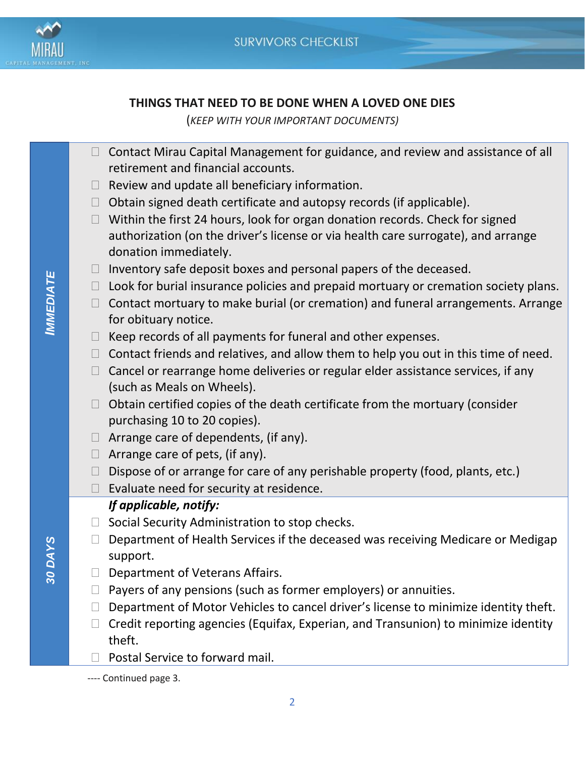

### **THINGS THAT NEED TO BE DONE WHEN A LOVED ONE DIES**

(*KEEP WITH YOUR IMPORTANT DOCUMENTS)*

- $\Box$  Contact Mirau Capital Management for guidance, and review and assistance of all retirement and financial accounts.
	- $\Box$  Review and update all beneficiary information.
	- $\Box$  Obtain signed death certificate and autopsy records (if applicable).
	- $\Box$  Within the first 24 hours, look for organ donation records. Check for signed authorization (on the driver's license or via health care surrogate), and arrange donation immediately.
	- $\Box$  Inventory safe deposit boxes and personal papers of the deceased.
	- $\Box$  Look for burial insurance policies and prepaid mortuary or cremation society plans.
	- $\Box$  Contact mortuary to make burial (or cremation) and funeral arrangements. Arrange for obituary notice.
	- $\Box$  Keep records of all payments for funeral and other expenses.
	- $\Box$  Contact friends and relatives, and allow them to help you out in this time of need.
	- $\Box$  Cancel or rearrange home deliveries or regular elder assistance services, if any (such as Meals on Wheels).
	- $\Box$  Obtain certified copies of the death certificate from the mortuary (consider purchasing 10 to 20 copies).
	- $\Box$  Arrange care of dependents, (if any).
	- $\Box$  Arrange care of pets, (if any).
	- $\Box$  Dispose of or arrange for care of any perishable property (food, plants, etc.)
	- $\Box$  Evaluate need for security at residence.

## *If applicable, notify:*

- $\Box$  Social Security Administration to stop checks.
- $\Box$  Department of Health Services if the deceased was receiving Medicare or Medigap support.
- $\Box$  Department of Veterans Affairs.
- $\Box$  Payers of any pensions (such as former employers) or annuities.
- $\Box$  Department of Motor Vehicles to cancel driver's license to minimize identity theft.
- $\Box$  Credit reporting agencies (Equifax, Experian, and Transunion) to minimize identity theft.
- □ Postal Service to forward mail.

---- Continued page 3.

*30 DAYS*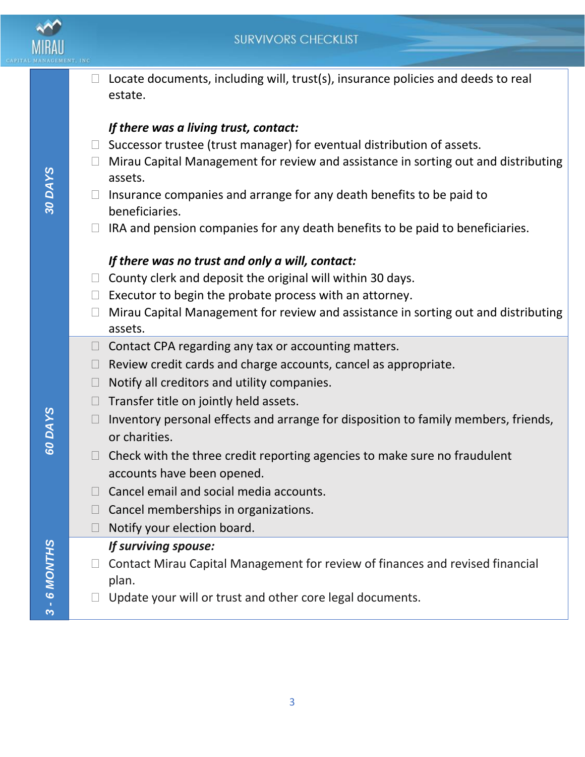



|                               |                                       | $\Box$ Locate documents, including will, trust(s), insurance policies and deeds to real<br>estate.             |  |
|-------------------------------|---------------------------------------|----------------------------------------------------------------------------------------------------------------|--|
| 30 DAYS                       |                                       | If there was a living trust, contact:                                                                          |  |
|                               |                                       | Successor trustee (trust manager) for eventual distribution of assets.                                         |  |
|                               |                                       | Mirau Capital Management for review and assistance in sorting out and distributing<br>assets.                  |  |
|                               | $\Box$                                | Insurance companies and arrange for any death benefits to be paid to<br>beneficiaries.                         |  |
|                               |                                       | $\Box$ IRA and pension companies for any death benefits to be paid to beneficiaries.                           |  |
|                               |                                       | If there was no trust and only a will, contact:                                                                |  |
|                               | $\Box$                                | County clerk and deposit the original will within 30 days.                                                     |  |
|                               | $\Box$                                | Executor to begin the probate process with an attorney.                                                        |  |
|                               |                                       | Mirau Capital Management for review and assistance in sorting out and distributing<br>assets.                  |  |
|                               |                                       | $\Box$ Contact CPA regarding any tax or accounting matters.                                                    |  |
|                               | $\Box$                                | Review credit cards and charge accounts, cancel as appropriate.                                                |  |
|                               | $\begin{array}{c} \hline \end{array}$ | Notify all creditors and utility companies.                                                                    |  |
|                               | $\Box$                                | Transfer title on jointly held assets.                                                                         |  |
| <b>SA DA YS</b>               |                                       | Inventory personal effects and arrange for disposition to family members, friends,<br>or charities.            |  |
|                               |                                       | $\Box$ Check with the three credit reporting agencies to make sure no fraudulent<br>accounts have been opened. |  |
|                               |                                       | Cancel email and social media accounts.                                                                        |  |
|                               |                                       | Cancel memberships in organizations.                                                                           |  |
|                               |                                       | Notify your election board.                                                                                    |  |
|                               |                                       | If surviving spouse:                                                                                           |  |
|                               |                                       | Contact Mirau Capital Management for review of finances and revised financial                                  |  |
|                               |                                       | plan.                                                                                                          |  |
| <b>- 6 MONTHS</b><br>$\infty$ |                                       | Update your will or trust and other core legal documents.                                                      |  |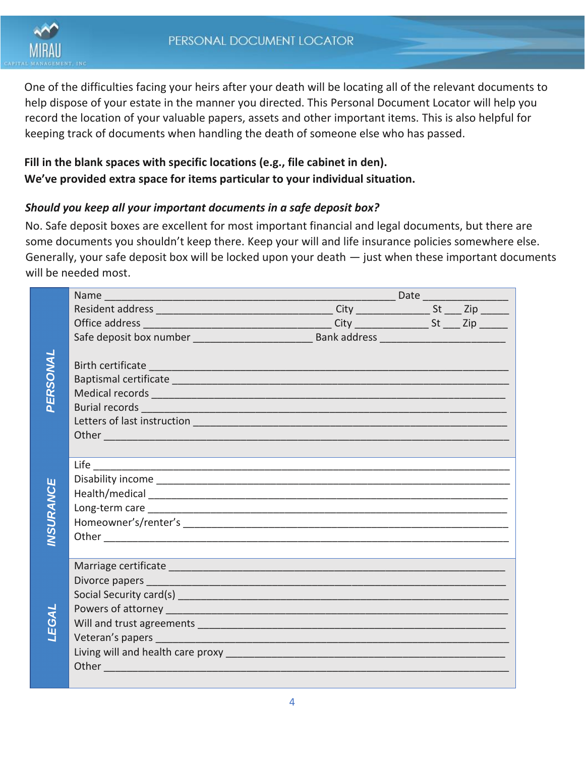

One of the difficulties facing your heirs after your death will be locating all of the relevant documents to help dispose of your estate in the manner you directed. This Personal Document Locator will help you record the location of your valuable papers, assets and other important items. This is also helpful for keeping track of documents when handling the death of someone else who has passed.

### **Fill in the blank spaces with specific locations (e.g., file cabinet in den). We've provided extra space for items particular to your individual situation.**

#### *Should you keep all your important documents in a safe deposit box?*

No. Safe deposit boxes are excellent for most important financial and legal documents, but there are some documents you shouldn't keep there. Keep your will and life insurance policies somewhere else. Generally, your safe deposit box will be locked upon your death — just when these important documents will be needed most.

|         | Name and the set of the set of the set of the set of the set of the set of the set of the set of the set of th                                                                                                                                                                                                                                                                                                                                                                                                                                                                                                                                                                                    | Date |  |  |  |
|---------|---------------------------------------------------------------------------------------------------------------------------------------------------------------------------------------------------------------------------------------------------------------------------------------------------------------------------------------------------------------------------------------------------------------------------------------------------------------------------------------------------------------------------------------------------------------------------------------------------------------------------------------------------------------------------------------------------|------|--|--|--|
|         |                                                                                                                                                                                                                                                                                                                                                                                                                                                                                                                                                                                                                                                                                                   |      |  |  |  |
|         |                                                                                                                                                                                                                                                                                                                                                                                                                                                                                                                                                                                                                                                                                                   |      |  |  |  |
|         |                                                                                                                                                                                                                                                                                                                                                                                                                                                                                                                                                                                                                                                                                                   |      |  |  |  |
| ERSONAL | Birth certificate entity of the state of the state of the state of the state of the state of the state of the<br>Medical records experience and a series of the series of the series of the series of the series of the series of the series of the series of the series of the series of the series of the series of the series of the series<br>Burial records experience and the contract of the contract of the contract of the contract of the contract of<br>Other contracts and contracts are the contract of the contracts of the contracts of the contracts of the contracts of the contracts of the contracts of the contracts of the contracts of the contracts of the contracts of th |      |  |  |  |
| Щ       | Life                                                                                                                                                                                                                                                                                                                                                                                                                                                                                                                                                                                                                                                                                              |      |  |  |  |
|         | Other contains and contains a state of the state of the state of the state of the state of the state of the state of the state of the state of the state of the state of the state of the state of the state of the state of t                                                                                                                                                                                                                                                                                                                                                                                                                                                                    |      |  |  |  |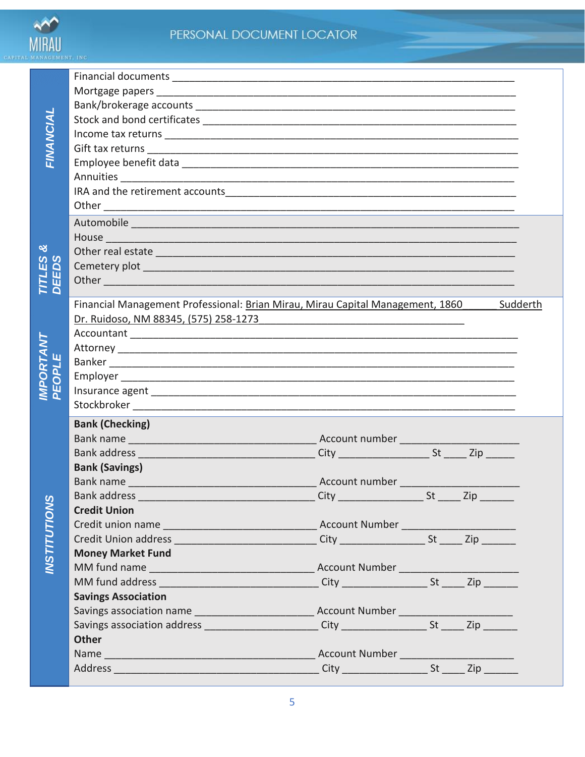

| <b>NANCIAL</b>     |                                                                                                                                                                                                                                |                                                            |  |  |          |  |
|--------------------|--------------------------------------------------------------------------------------------------------------------------------------------------------------------------------------------------------------------------------|------------------------------------------------------------|--|--|----------|--|
|                    |                                                                                                                                                                                                                                |                                                            |  |  |          |  |
|                    |                                                                                                                                                                                                                                |                                                            |  |  |          |  |
|                    |                                                                                                                                                                                                                                |                                                            |  |  |          |  |
|                    |                                                                                                                                                                                                                                |                                                            |  |  |          |  |
|                    |                                                                                                                                                                                                                                |                                                            |  |  |          |  |
|                    |                                                                                                                                                                                                                                |                                                            |  |  |          |  |
|                    |                                                                                                                                                                                                                                |                                                            |  |  |          |  |
|                    |                                                                                                                                                                                                                                |                                                            |  |  |          |  |
|                    | Automobile experience and a series of the series of the series of the series of the series of the series of the                                                                                                                |                                                            |  |  |          |  |
|                    |                                                                                                                                                                                                                                |                                                            |  |  |          |  |
|                    |                                                                                                                                                                                                                                |                                                            |  |  |          |  |
|                    | Other real estate example and a state of the state of the state of the state of the state of the state of the                                                                                                                  |                                                            |  |  |          |  |
|                    | Other contact the contact of the contact of the contact of the contact of the contact of the contact of the contact of the contact of the contact of the contact of the contact of the contact of the contact of the contact o |                                                            |  |  |          |  |
|                    |                                                                                                                                                                                                                                |                                                            |  |  |          |  |
|                    | Financial Management Professional: Brian Mirau, Mirau Capital Management, 1860                                                                                                                                                 |                                                            |  |  | Sudderth |  |
|                    | Dr. Ruidoso, NM 88345, (575) 258-1273                                                                                                                                                                                          | <u> 1989 - Johann Barbara, martxa alemaniar amerikan a</u> |  |  |          |  |
|                    |                                                                                                                                                                                                                                |                                                            |  |  |          |  |
|                    |                                                                                                                                                                                                                                |                                                            |  |  |          |  |
|                    |                                                                                                                                                                                                                                |                                                            |  |  |          |  |
| <b>MPORTANT</b>    |                                                                                                                                                                                                                                |                                                            |  |  |          |  |
|                    |                                                                                                                                                                                                                                |                                                            |  |  |          |  |
|                    |                                                                                                                                                                                                                                |                                                            |  |  |          |  |
|                    | <b>Bank (Checking)</b>                                                                                                                                                                                                         |                                                            |  |  |          |  |
|                    |                                                                                                                                                                                                                                |                                                            |  |  |          |  |
|                    |                                                                                                                                                                                                                                |                                                            |  |  |          |  |
|                    | <b>Bank (Savings)</b>                                                                                                                                                                                                          |                                                            |  |  |          |  |
|                    |                                                                                                                                                                                                                                |                                                            |  |  |          |  |
|                    |                                                                                                                                                                                                                                |                                                            |  |  |          |  |
|                    | <b>Credit Union</b>                                                                                                                                                                                                            |                                                            |  |  |          |  |
|                    |                                                                                                                                                                                                                                |                                                            |  |  |          |  |
|                    | Credit Union address ______________________________City ______________________St _______Zip ________                                                                                                                           |                                                            |  |  |          |  |
| <b>NSTITUTIONS</b> | <b>Money Market Fund</b>                                                                                                                                                                                                       |                                                            |  |  |          |  |
|                    |                                                                                                                                                                                                                                |                                                            |  |  |          |  |
|                    | MM fund address ________________________________City ______________________St ______Zip ___________                                                                                                                            |                                                            |  |  |          |  |
|                    | <b>Savings Association</b>                                                                                                                                                                                                     |                                                            |  |  |          |  |
|                    |                                                                                                                                                                                                                                |                                                            |  |  |          |  |
|                    | Savings association address ________________________City _____________________St _______Zip ________                                                                                                                           |                                                            |  |  |          |  |
|                    | <b>Other</b>                                                                                                                                                                                                                   |                                                            |  |  |          |  |
|                    |                                                                                                                                                                                                                                |                                                            |  |  |          |  |
|                    |                                                                                                                                                                                                                                |                                                            |  |  |          |  |
|                    |                                                                                                                                                                                                                                |                                                            |  |  |          |  |

 $\overline{\mathbf{5}}$